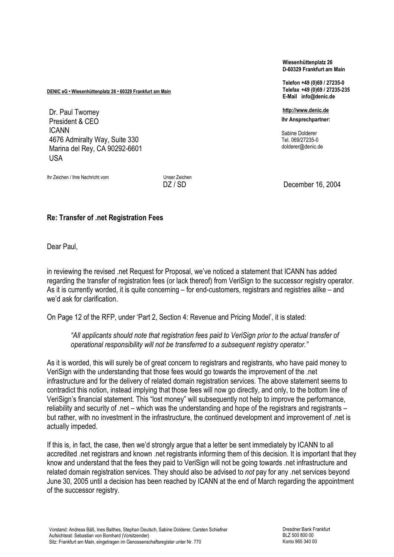DENIC eG • Wiesenhüttenplatz 26 • 60329 Frankfurt am Main

 President & CEO Dr. Paul Twomey ICANN 4676 Admiralty Way, Suite 330 Marina del Rey, CA 90292-6601 USA

Ihr Zeichen / Ihre Nachricht vom Versitzung und Unser Zeichen

Wiesenhüttenplatz 26 D-60329 Frankfurt am Main

Telefon +49 (0)69 / 27235-0 Telefax +49 (0)69 / 27235-235 E-Mail info@denic.de

http://www.denic.de Ihr Ansprechpartner:

Sabine Dolderer Tel. 069/27235-0 dolderer@denic.de

DZ / SD December 16, 2004

## Re: Transfer of .net Registration Fees

Dear Paul,

in reviewing the revised .net Request for Proposal, we've noticed a statement that ICANN has added regarding the transfer of registration fees (or lack thereof) from VeriSign to the successor registry operator. As it is currently worded, it is quite concerning – for end-customers, registrars and registries alike – and we'd ask for clarification.

On Page 12 of the RFP, under 'Part 2, Section 4: Revenue and Pricing Model', it is stated:

"All applicants should note that registration fees paid to VeriSign prior to the actual transfer of operational responsibility will not be transferred to a subsequent registry operator."

As it is worded, this will surely be of great concern to registrars and registrants, who have paid money to VeriSign with the understanding that those fees would go towards the improvement of the .net infrastructure and for the delivery of related domain registration services. The above statement seems to contradict this notion, instead implying that those fees will now go directly, and only, to the bottom line of VeriSign's financial statement. This "lost money" will subsequently not help to improve the performance, reliability and security of .net – which was the understanding and hope of the registrars and registrants – but rather, with no investment in the infrastructure, the continued development and improvement of .net is actually impeded.

If this is, in fact, the case, then we'd strongly argue that a letter be sent immediately by ICANN to all accredited .net registrars and known .net registrants informing them of this decision. It is important that they know and understand that the fees they paid to VeriSign will not be going towards .net infrastructure and related domain registration services. They should also be advised to not pay for any .net services beyond June 30, 2005 until a decision has been reached by ICANN at the end of March regarding the appointment of the successor registry.